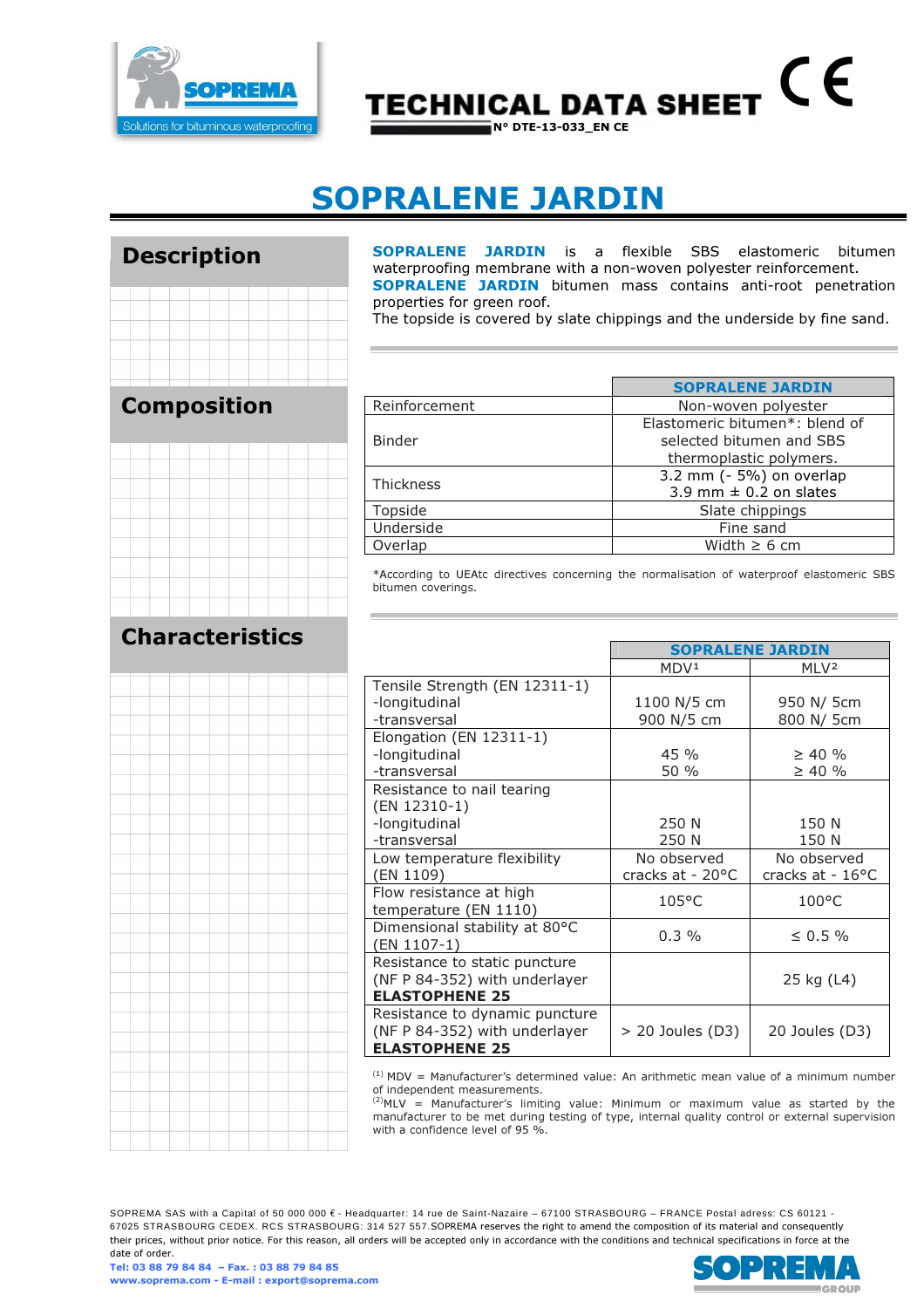

# CE **TECHNICAL DATA SHEET**

## SOPRALENE JARDIN

#### Description



### Composition

### Characteristics

SOPRALENE JARDIN is a flexible SBS elastomeric bitumen waterproofing membrane with a non-woven polyester reinforcement. SOPRALENE JARDIN bitumen mass contains anti-root penetration properties for green roof.

The topside is covered by slate chippings and the underside by fine sand.

|                  | <b>SOPRALENE JARDIN</b>        |
|------------------|--------------------------------|
| Reinforcement    | Non-woven polyester            |
|                  | Elastomeric bitumen*: blend of |
| <b>Binder</b>    | selected bitumen and SBS       |
|                  | thermoplastic polymers.        |
| <b>Thickness</b> | 3.2 mm (- 5%) on overlap       |
|                  | 3.9 mm $\pm$ 0.2 on slates     |
| Topside          | Slate chippings                |
| Underside        | Fine sand                      |
| Overlap          | Width $\geq 6$ cm              |

\*According to UEAtc directives concerning the normalisation of waterproof elastomeric SBS bitumen coverings.

|                                              | <b>SOPRALENE JARDIN</b> |                            |  |
|----------------------------------------------|-------------------------|----------------------------|--|
|                                              | MDV <sup>1</sup>        | MLV <sup>2</sup>           |  |
| Tensile Strength (EN 12311-1)                |                         |                            |  |
| -longitudinal                                | 1100 N/5 cm             | 950 N/ 5cm                 |  |
| -transversal                                 | 900 N/5 cm              | 800 N/ 5cm                 |  |
| Elongation (EN 12311-1)                      |                         |                            |  |
| -longitudinal                                | 45 %                    | $\geq 40 \%$               |  |
| -transversal                                 | 50 %                    | $\geq 40 \%$               |  |
| Resistance to nail tearing                   |                         |                            |  |
| (EN 12310-1)                                 |                         |                            |  |
| -longitudinal                                | 250 N                   | 150 N                      |  |
| -transversal                                 | 250 N                   | 150 N                      |  |
| Low temperature flexibility                  | No observed             | No observed                |  |
| (EN 1109)                                    | cracks at - 20°C        | cracks at - $16^{\circ}$ C |  |
| Flow resistance at high                      | $105^{\circ}$ C         | $100^{\circ}$ C            |  |
| temperature (EN 1110)                        |                         |                            |  |
| Dimensional stability at 80°C<br>(EN 1107-1) | $0.3\%$                 | $\leq 0.5 \%$              |  |
| Resistance to static puncture                |                         |                            |  |
| (NF P 84-352) with underlayer                |                         | 25 kg (L4)                 |  |
| <b>ELASTOPHENE 25</b>                        |                         |                            |  |
| Resistance to dynamic puncture               |                         |                            |  |
| (NF P 84-352) with underlayer                | $> 20$ Joules (D3)      | 20 Joules (D3)             |  |
| <b>ELASTOPHENE 25</b>                        |                         |                            |  |

 $(1)$  MDV = Manufacturer's determined value: An arithmetic mean value of a minimum number of independent measurements.

 $^{(2)}$ MLV = Manufacturer's limiting value: Minimum or maximum value as started by the manufacturer to be met during testing of type, internal quality control or external supervision with a confidence level of 95 %.

SOPREMA SAS with a Capital of 50 000 000 € - Headquarter: 14 rue de Saint-Nazaire – 67100 STRASBOURG – FRANCE Postal adress: CS 60121 - 67025 STRASBOURG CEDEX. RCS STRASBOURG: 314 527 557.SOPREMA reserves the right to amend the composition of its material and consequently their prices, without prior notice. For this reason, all orders will be accepted only in accordance with the conditions and technical specifications in force at the date of order.

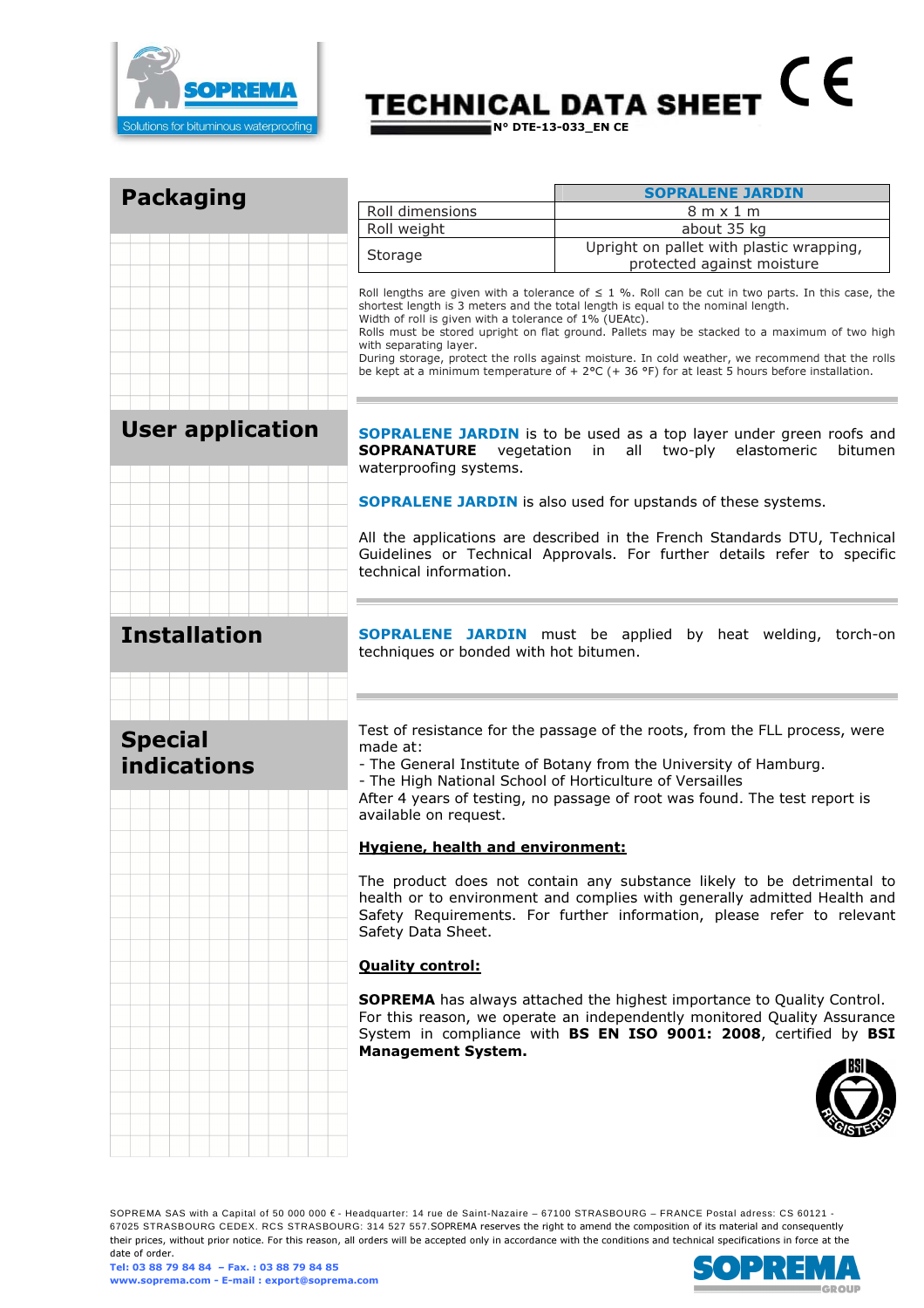

## $C \in$ **TECHNICAL DATA SHEET**  $\bar{N}^{\circ}$  DTE-13-033\_EN CE

| <b>Packaging</b>                     | <b>SOPRALENE JARDIN</b>                                                                                                                                                                                                                                                                                                         |                                                                                                                                                                                                                                                                                                                                                                                                                                                                                                       |  |  |  |
|--------------------------------------|---------------------------------------------------------------------------------------------------------------------------------------------------------------------------------------------------------------------------------------------------------------------------------------------------------------------------------|-------------------------------------------------------------------------------------------------------------------------------------------------------------------------------------------------------------------------------------------------------------------------------------------------------------------------------------------------------------------------------------------------------------------------------------------------------------------------------------------------------|--|--|--|
|                                      | Roll dimensions                                                                                                                                                                                                                                                                                                                 | $8m \times 1m$                                                                                                                                                                                                                                                                                                                                                                                                                                                                                        |  |  |  |
|                                      | Roll weight                                                                                                                                                                                                                                                                                                                     | about 35 kg                                                                                                                                                                                                                                                                                                                                                                                                                                                                                           |  |  |  |
|                                      | Storage                                                                                                                                                                                                                                                                                                                         | Upright on pallet with plastic wrapping,<br>protected against moisture                                                                                                                                                                                                                                                                                                                                                                                                                                |  |  |  |
|                                      | Width of roll is given with a tolerance of 1% (UEAtc).<br>with separating layer.                                                                                                                                                                                                                                                | Roll lengths are given with a tolerance of $\leq$ 1 %. Roll can be cut in two parts. In this case, the<br>shortest length is 3 meters and the total length is equal to the nominal length.<br>Rolls must be stored upright on flat ground. Pallets may be stacked to a maximum of two high<br>During storage, protect the rolls against moisture. In cold weather, we recommend that the rolls<br>be kept at a minimum temperature of $+ 2$ °C ( $+ 36$ °F) for at least 5 hours before installation. |  |  |  |
| <b>User application</b>              | <b>SOPRALENE JARDIN</b> is to be used as a top layer under green roofs and<br><b>SOPRANATURE</b><br>vegetation in all two-ply elastomeric<br>bitumen<br>waterproofing systems.                                                                                                                                                  |                                                                                                                                                                                                                                                                                                                                                                                                                                                                                                       |  |  |  |
|                                      | <b>SOPRALENE JARDIN</b> is also used for upstands of these systems.                                                                                                                                                                                                                                                             |                                                                                                                                                                                                                                                                                                                                                                                                                                                                                                       |  |  |  |
|                                      | All the applications are described in the French Standards DTU, Technical<br>Guidelines or Technical Approvals. For further details refer to specific<br>technical information.                                                                                                                                                 |                                                                                                                                                                                                                                                                                                                                                                                                                                                                                                       |  |  |  |
| <b>Installation</b>                  | techniques or bonded with hot bitumen.                                                                                                                                                                                                                                                                                          | <b>SOPRALENE JARDIN</b> must be applied by heat welding, torch-on                                                                                                                                                                                                                                                                                                                                                                                                                                     |  |  |  |
| <b>Special</b><br><b>indications</b> | Test of resistance for the passage of the roots, from the FLL process, were<br>made at:<br>- The General Institute of Botany from the University of Hamburg.<br>- The High National School of Horticulture of Versailles<br>After 4 years of testing, no passage of root was found. The test report is<br>available on request. |                                                                                                                                                                                                                                                                                                                                                                                                                                                                                                       |  |  |  |
|                                      | <b>Hygiene, health and environment:</b>                                                                                                                                                                                                                                                                                         |                                                                                                                                                                                                                                                                                                                                                                                                                                                                                                       |  |  |  |
|                                      | Safety Data Sheet.                                                                                                                                                                                                                                                                                                              | The product does not contain any substance likely to be detrimental to<br>health or to environment and complies with generally admitted Health and<br>Safety Requirements. For further information, please refer to relevant                                                                                                                                                                                                                                                                          |  |  |  |
|                                      | <b>Quality control:</b>                                                                                                                                                                                                                                                                                                         |                                                                                                                                                                                                                                                                                                                                                                                                                                                                                                       |  |  |  |
|                                      | <b>Management System.</b>                                                                                                                                                                                                                                                                                                       | <b>SOPREMA</b> has always attached the highest importance to Quality Control.<br>For this reason, we operate an independently monitored Quality Assurance<br>System in compliance with BS EN ISO 9001: 2008, certified by BSI                                                                                                                                                                                                                                                                         |  |  |  |
|                                      |                                                                                                                                                                                                                                                                                                                                 |                                                                                                                                                                                                                                                                                                                                                                                                                                                                                                       |  |  |  |

SOPREMA SAS with a Capital of 50 000 000 € - Headquarter: 14 rue de Saint-Nazaire – 67100 STRASBOURG – FRANCE Postal adress: CS 60121 - 67025 STRASBOURG CEDEX. RCS STRASBOURG: 314 527 557.SOPREMA reserves the right to amend the composition of its material and consequently their prices, without prior notice. For this reason, all orders will be accepted only in accordance with the conditions and technical specifications in force at the date of order.